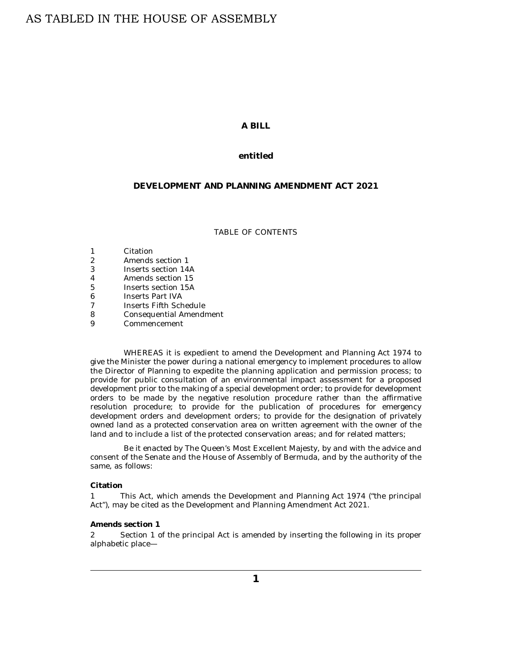# AS TABLED IN THE HOUSE OF ASSEMBLY

# **A BILL**

# **entitled**

# **DEVELOPMENT AND PLANNING AMENDMENT ACT 2021**

#### TABLE OF CONTENTS

| 1 | Citation                |
|---|-------------------------|
| 2 | Amends section 1        |
| 3 | Inserts section 14A     |
| 4 | Amends section 15       |
| 5 | Inserts section 15A     |
| 6 | <b>Inserts Part IVA</b> |
| 7 | Inserts Fifth Schedule  |
| 8 | Consequential Amendment |
| 9 | Commencement            |

WHEREAS it is expedient to amend the Development and Planning Act 1974 to give the Minister the power during a national emergency to implement procedures to allow the Director of Planning to expedite the planning application and permission process; to provide for public consultation of an environmental impact assessment for a proposed development prior to the making of a special development order; to provide for development orders to be made by the negative resolution procedure rather than the affirmative resolution procedure; to provide for the publication of procedures for emergency development orders and development orders; to provide for the designation of privately owned land as a protected conservation area on written agreement with the owner of the land and to include a list of the protected conservation areas; and for related matters;

Be it enacted by The Queen's Most Excellent Majesty, by and with the advice and consent of the Senate and the House of Assembly of Bermuda, and by the authority of the same, as follows:

#### **Citation**

This Act, which amends the Development and Planning Act 1974 ("the principal Act"), may be cited as the Development and Planning Amendment Act 2021. 1

#### **Amends section 1**

Section 1 of the principal Act is amended by inserting the following in its proper alphabetic place— 2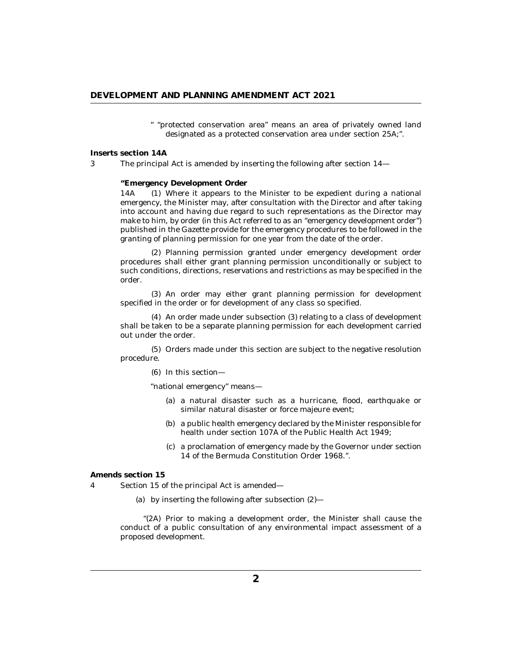" "protected conservation area" means an area of privately owned land designated as a protected conservation area under section 25A;".

<span id="page-1-0"></span>**Inserts section 14A**

3

The principal Act is amended by inserting the following after section 14—

**"Emergency Development Order**

Where it appears to the Minister to be expedient during a national emergency, the Minister may, after consultation with the Director and after taking into account and having due regard to such representations as the Director may make to him, by order (in this Act referred to as an "emergency development order") published in the Gazette provide for the emergency procedures to be followed in the granting of planning permission for one year from the date of the order. 14A

(2) Planning permission granted under emergency development order procedures shall either grant planning permission unconditionally or subject to such conditions, directions, reservations and restrictions as may be specified in the order.

(3) An order may either grant planning permission for development specified in the order or for development of any class so specified.

(4) An order made under subsection (3) relating to a class of development shall be taken to be a separate planning permission for each development carried out under the order.

(5) Orders made under this section are subject to the negative resolution procedure.

(6) In this section-

"national emergency" means—

- a natural disaster such as a hurricane, flood, earthquake or (a) similar natural disaster or force majeure event;
- (b) a public health emergency declared by the Minister responsible for health under section 107A of the Public Health Act 1949;
- a proclamation of emergency made by the Governor under section (c) 14 of the Bermuda Constitution Order 1968.".

**Amends section 15**

Section 15 of the principal Act is amended— 4

by inserting the following after subsection (2)— (a)

"(2A) Prior to making a development order, the Minister shall cause the conduct of a public consultation of any environmental impact assessment of a proposed development.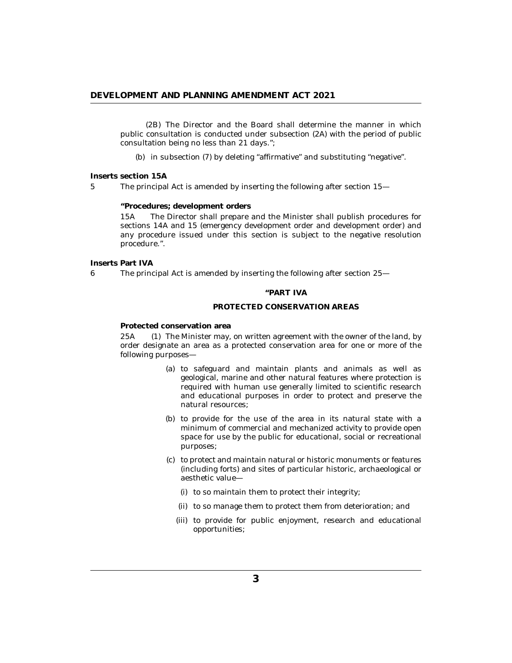<span id="page-2-0"></span>(2B) The Director and the Board shall determine the manner in which public consultation is conducted under subsection (2A) with the period of public consultation being no less than 21 days.";

(b) in subsection (7) by deleting "affirmative" and substituting "negative".

**Inserts section 15A**

5

The principal Act is amended by inserting the following after section 15—

**"Procedures; development orders**

The Director shall prepare and the Minister shall publish procedures for sections 14A and 15 (emergency development order and development order) and any procedure issued under this section is subject to the negative resolution procedure.". 15A

**Inserts Part IVA**

6

The principal Act is amended by inserting the following after section 25—

### **"PART IVA**

## **PROTECTED CONSERVATION AREAS**

**Protected conservation area**

(1) The Minister may, on written agreement with the owner of the land, by order designate an area as a protected conservation area for one or more of the following purposes—  $25A$ 

- (a) to safeguard and maintain plants and animals as well as geological, marine and other natural features where protection is required with human use generally limited to scientific research and educational purposes in order to protect and preserve the natural resources;
- (b) to provide for the use of the area in its natural state with a minimum of commercial and mechanized activity to provide open space for use by the public for educational, social or recreational purposes;
- (c) to protect and maintain natural or historic monuments or features (including forts) and sites of particular historic, archaeological or aesthetic value—
	- (i) to so maintain them to protect their integrity;
	- (ii) to so manage them to protect them from deterioration; and
	- (iii) to provide for public enjoyment, research and educational opportunities;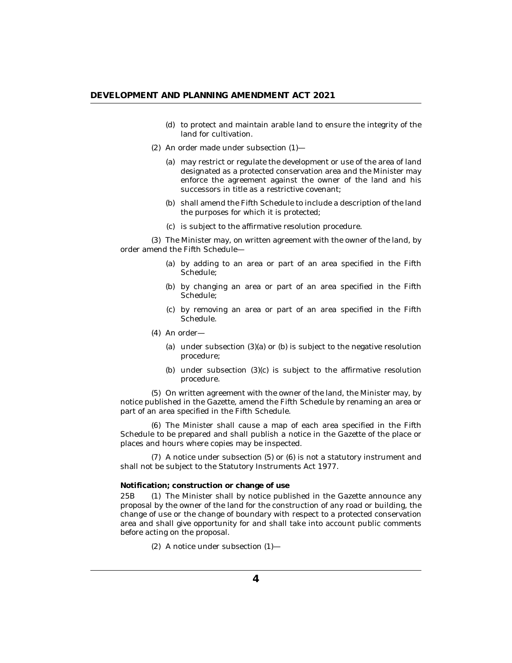- (d) to protect and maintain arable land to ensure the integrity of the land for cultivation.
- $(2)$  An order made under subsection  $(1)$ 
	- may restrict or regulate the development or use of the area of land (a) designated as a protected conservation area and the Minister may enforce the agreement against the owner of the land and his successors in title as a restrictive covenant;
	- (b) shall amend the Fifth Schedule to include a description of the land the purposes for which it is protected;
	- (c) is subject to the affirmative resolution procedure.

(3) The Minister may, on written agreement with the owner of the land, by order amend the Fifth Schedule—

- (a) by adding to an area or part of an area specified in the Fifth Schedule;
- by changing an area or part of an area specified in the Fifth (b) Schedule;
- (c) by removing an area or part of an area specified in the Fifth Schedule.
- (4) An order-
	- (a) under subsection (3)(a) or (b) is subject to the negative resolution procedure;
	- (b) under subsection  $(3)(c)$  is subject to the affirmative resolution procedure.

(5) On written agreement with the owner of the land, the Minister may, by notice published in the Gazette, amend the Fifth Schedule by renaming an area or part of an area specified in the Fifth Schedule.

The Minister shall cause a map of each area specified in the Fifth (6) Schedule to be prepared and shall publish a notice in the Gazette of the place or places and hours where copies may be inspected.

 $(7)$  A notice under subsection  $(5)$  or  $(6)$  is not a statutory instrument and shall not be subject to the Statutory Instruments Act 1977.

#### **Notification; construction or change of use**

(1) The Minister shall by notice published in the Gazette announce any proposal by the owner of the land for the construction of any road or building, the change of use or the change of boundary with respect to a protected conservation area and shall give opportunity for and shall take into account public comments before acting on the proposal. 25<sub>B</sub>

A notice under subsection (1)— (2)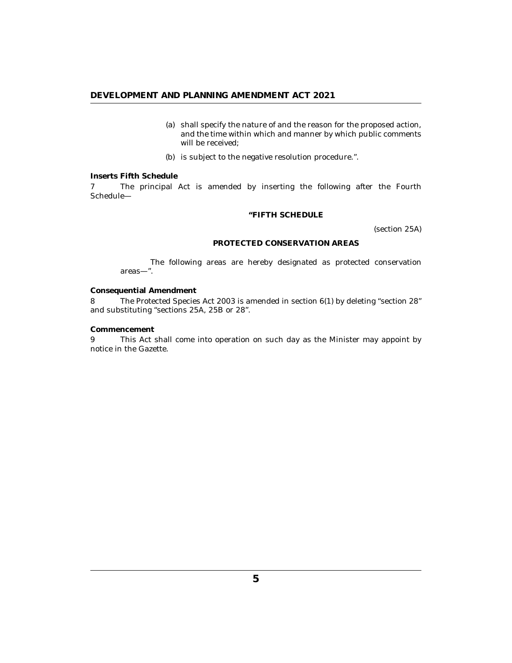- (a) shall specify the nature of and the reason for the proposed action, and the time within which and manner by which public comments will be received;
- (b) is subject to the negative resolution procedure.".

## <span id="page-4-0"></span>**Inserts Fifth Schedule**

The principal Act is amended by inserting the following after the Fourth Schedule— 7

## **"FIFTH SCHEDULE**

(section 25A)

## **PROTECTED CONSERVATION AREAS**

The following areas are hereby designated as protected conservation areas—".

**Consequential Amendment**

The Protected Species Act 2003 is amended in section 6(1) by deleting "section 28" and substituting "sections 25A, 25B or 28". 8

**Commencement**

This Act shall come into operation on such day as the Minister may appoint by notice in the Gazette. 9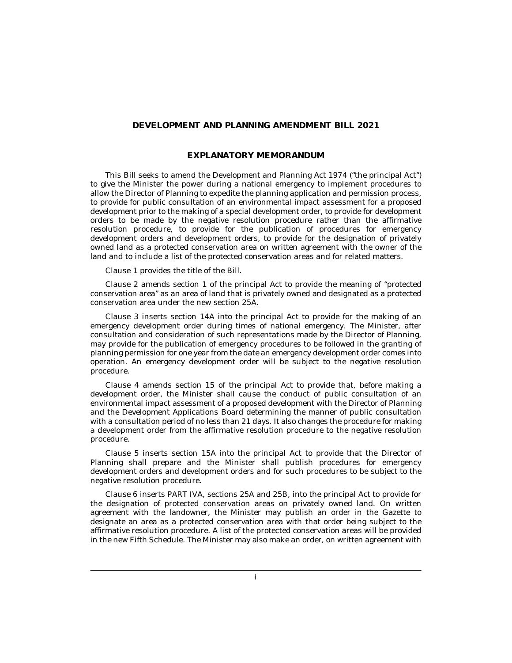# **DEVELOPMENT AND PLANNING AMENDMENT BILL 2021**

# **EXPLANATORY MEMORANDUM**

This Bill seeks to amend the Development and Planning Act 1974 ("the principal Act") to give the Minister the power during a national emergency to implement procedures to allow the Director of Planning to expedite the planning application and permission process, to provide for public consultation of an environmental impact assessment for a proposed development prior to the making of a special development order, to provide for development orders to be made by the negative resolution procedure rather than the affirmative resolution procedure, to provide for the publication of procedures for emergency development orders and development orders, to provide for the designation of privately owned land as a protected conservation area on written agreement with the owner of the land and to include a list of the protected conservation areas and for related matters.

Clause 1 provides the title of the Bill.

Clause 2 amends section 1 of the principal Act to provide the meaning of "protected conservation area" as an area of land that is privately owned and designated as a protected conservation area under the new section 25A.

Clause 3 inserts section 14A into the principal Act to provide for the making of an emergency development order during times of national emergency. The Minister, after consultation and consideration of such representations made by the Director of Planning, may provide for the publication of emergency procedures to be followed in the granting of planning permission for one year from the date an emergency development order comes into operation. An emergency development order will be subject to the negative resolution procedure.

Clause 4 amends section 15 of the principal Act to provide that, before making a development order, the Minister shall cause the conduct of public consultation of an environmental impact assessment of a proposed development with the Director of Planning and the Development Applications Board determining the manner of public consultation with a consultation period of no less than 21 days. It also changes the procedure for making a development order from the affirmative resolution procedure to the negative resolution procedure.

Clause 5 inserts section 15A into the principal Act to provide that the Director of Planning shall prepare and the Minister shall publish procedures for emergency development orders and development orders and for such procedures to be subject to the negative resolution procedure.

Clause 6 inserts PART IVA, sections 25A and 25B, into the principal Act to provide for the designation of protected conservation areas on privately owned land. On written agreement with the landowner, the Minister may publish an order in the Gazette to designate an area as a protected conservation area with that order being subject to the affirmative resolution procedure. A list of the protected conservation areas will be provided in the new Fifth Schedule. The Minister may also make an order, on written agreement with